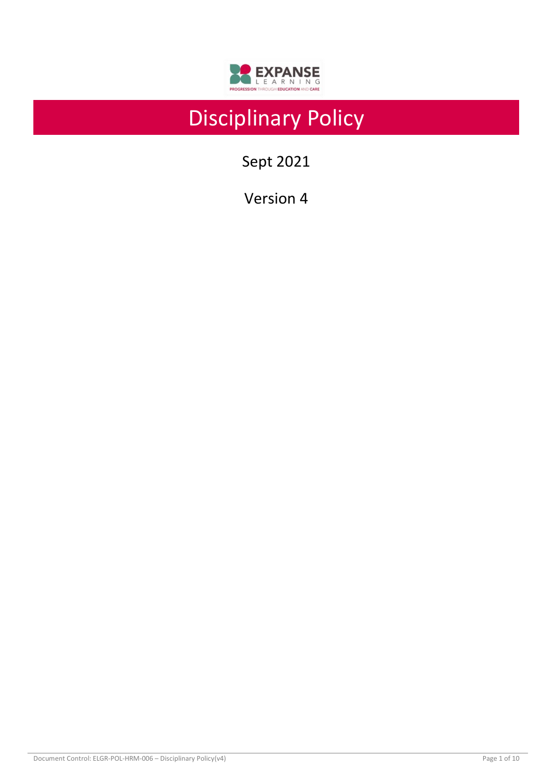

# Disciplinary Policy

Sept 2021

Version 4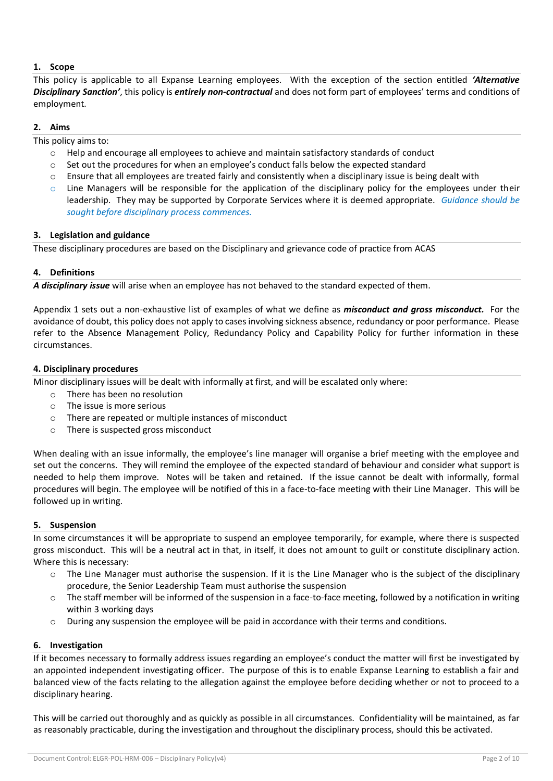## **1. Scope**

This policy is applicable to all Expanse Learning employees. With the exception of the section entitled *'Alternative Disciplinary Sanction'*, this policy is *entirely non-contractual* and does not form part of employees' terms and conditions of employment.

## **2. Aims**

This policy aims to:

- $\circ$  Help and encourage all employees to achieve and maintain satisfactory standards of conduct
- o Set out the procedures for when an employee's conduct falls below the expected standard
- o Ensure that all employees are treated fairly and consistently when a disciplinary issue is being dealt with
- $\circ$  Line Managers will be responsible for the application of the disciplinary policy for the employees under their leadership. They may be supported by Corporate Services where it is deemed appropriate. *Guidance should be sought before disciplinary process commences.*

## **3. Legislation and guidance**

These disciplinary procedures are based on the Disciplinary and grievance code of practice from ACAS

## **4. Definitions**

*A disciplinary issue* will arise when an employee has not behaved to the standard expected of them.

Appendix 1 sets out a non-exhaustive list of examples of what we define as *misconduct and gross misconduct.*For the avoidance of doubt, this policy does not apply to cases involving sickness absence, redundancy or poor performance. Please refer to the Absence Management Policy, Redundancy Policy and Capability Policy for further information in these circumstances.

## **4. Disciplinary procedures**

Minor disciplinary issues will be dealt with informally at first, and will be escalated only where:

- o There has been no resolution
- $\circ$  The issue is more serious
- o There are repeated or multiple instances of misconduct
- o There is suspected gross misconduct

When dealing with an issue informally, the employee's line manager will organise a brief meeting with the employee and set out the concerns. They will remind the employee of the expected standard of behaviour and consider what support is needed to help them improve. Notes will be taken and retained. If the issue cannot be dealt with informally, formal procedures will begin. The employee will be notified of this in a face-to-face meeting with their Line Manager. This will be followed up in writing.

## **5. Suspension**

In some circumstances it will be appropriate to suspend an employee temporarily, for example, where there is suspected gross misconduct. This will be a neutral act in that, in itself, it does not amount to guilt or constitute disciplinary action. Where this is necessary:

- $\circ$  The Line Manager must authorise the suspension. If it is the Line Manager who is the subject of the disciplinary procedure, the Senior Leadership Team must authorise the suspension
- $\circ$  The staff member will be informed of the suspension in a face-to-face meeting, followed by a notification in writing within 3 working days
- During any suspension the employee will be paid in accordance with their terms and conditions.

## **6. Investigation**

If it becomes necessary to formally address issues regarding an employee's conduct the matter will first be investigated by an appointed independent investigating officer. The purpose of this is to enable Expanse Learning to establish a fair and balanced view of the facts relating to the allegation against the employee before deciding whether or not to proceed to a disciplinary hearing.

This will be carried out thoroughly and as quickly as possible in all circumstances. Confidentiality will be maintained, as far as reasonably practicable, during the investigation and throughout the disciplinary process, should this be activated.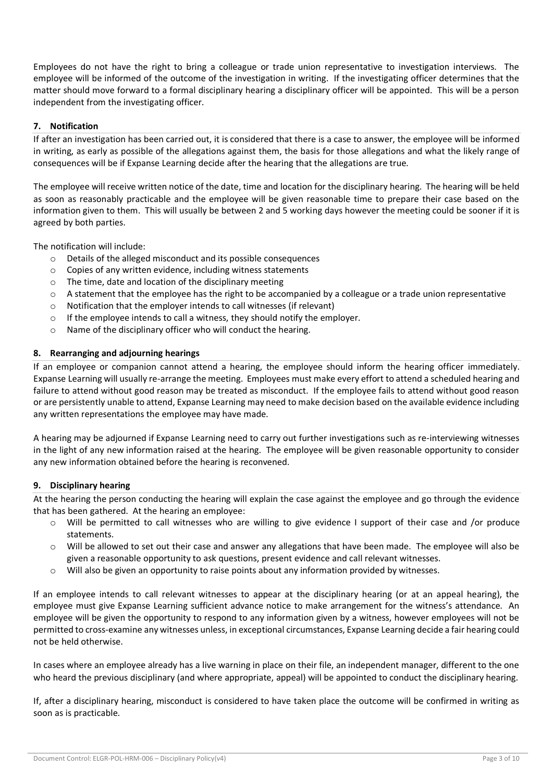Employees do not have the right to bring a colleague or trade union representative to investigation interviews. The employee will be informed of the outcome of the investigation in writing. If the investigating officer determines that the matter should move forward to a formal disciplinary hearing a disciplinary officer will be appointed. This will be a person independent from the investigating officer.

## **7. Notification**

If after an investigation has been carried out, it is considered that there is a case to answer, the employee will be informed in writing, as early as possible of the allegations against them, the basis for those allegations and what the likely range of consequences will be if Expanse Learning decide after the hearing that the allegations are true.

The employee will receive written notice of the date, time and location for the disciplinary hearing. The hearing will be held as soon as reasonably practicable and the employee will be given reasonable time to prepare their case based on the information given to them. This will usually be between 2 and 5 working days however the meeting could be sooner if it is agreed by both parties.

The notification will include:

- o Details of the alleged misconduct and its possible consequences
- o Copies of any written evidence, including witness statements
- o The time, date and location of the disciplinary meeting
- $\circ$  A statement that the employee has the right to be accompanied by a colleague or a trade union representative
- o Notification that the employer intends to call witnesses (if relevant)
- o If the employee intends to call a witness, they should notify the employer.
- o Name of the disciplinary officer who will conduct the hearing.

## **8. Rearranging and adjourning hearings**

If an employee or companion cannot attend a hearing, the employee should inform the hearing officer immediately. Expanse Learning will usually re-arrange the meeting. Employees must make every effort to attend a scheduled hearing and failure to attend without good reason may be treated as misconduct. If the employee fails to attend without good reason or are persistently unable to attend, Expanse Learning may need to make decision based on the available evidence including any written representations the employee may have made.

A hearing may be adjourned if Expanse Learning need to carry out further investigations such as re-interviewing witnesses in the light of any new information raised at the hearing. The employee will be given reasonable opportunity to consider any new information obtained before the hearing is reconvened.

## **9. Disciplinary hearing**

At the hearing the person conducting the hearing will explain the case against the employee and go through the evidence that has been gathered. At the hearing an employee:

- o Will be permitted to call witnesses who are willing to give evidence I support of their case and /or produce statements.
- $\circ$  Will be allowed to set out their case and answer any allegations that have been made. The employee will also be given a reasonable opportunity to ask questions, present evidence and call relevant witnesses.
- o Will also be given an opportunity to raise points about any information provided by witnesses.

If an employee intends to call relevant witnesses to appear at the disciplinary hearing (or at an appeal hearing), the employee must give Expanse Learning sufficient advance notice to make arrangement for the witness's attendance. An employee will be given the opportunity to respond to any information given by a witness, however employees will not be permitted to cross-examine any witnesses unless, in exceptional circumstances, Expanse Learning decide a fair hearing could not be held otherwise.

In cases where an employee already has a live warning in place on their file, an independent manager, different to the one who heard the previous disciplinary (and where appropriate, appeal) will be appointed to conduct the disciplinary hearing.

If, after a disciplinary hearing, misconduct is considered to have taken place the outcome will be confirmed in writing as soon as is practicable.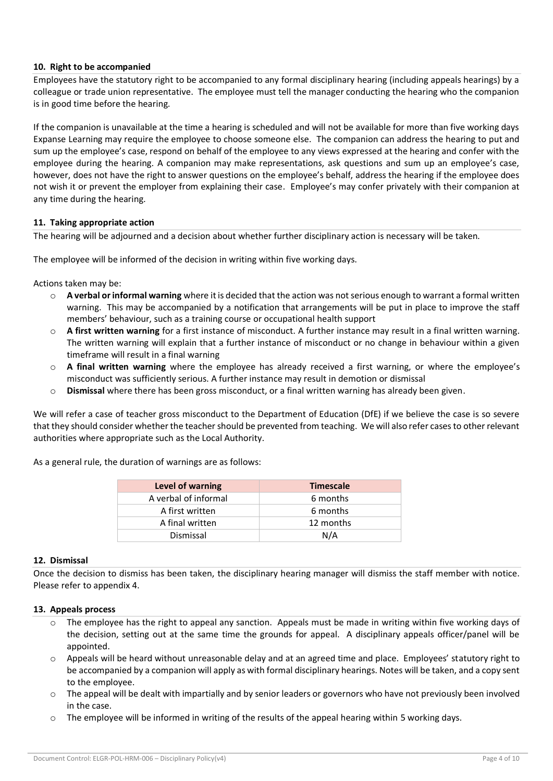## **10. Right to be accompanied**

Employees have the statutory right to be accompanied to any formal disciplinary hearing (including appeals hearings) by a colleague or trade union representative. The employee must tell the manager conducting the hearing who the companion is in good time before the hearing.

If the companion is unavailable at the time a hearing is scheduled and will not be available for more than five working days Expanse Learning may require the employee to choose someone else. The companion can address the hearing to put and sum up the employee's case, respond on behalf of the employee to any views expressed at the hearing and confer with the employee during the hearing. A companion may make representations, ask questions and sum up an employee's case, however, does not have the right to answer questions on the employee's behalf, address the hearing if the employee does not wish it or prevent the employer from explaining their case. Employee's may confer privately with their companion at any time during the hearing.

#### **11. Taking appropriate action**

The hearing will be adjourned and a decision about whether further disciplinary action is necessary will be taken.

The employee will be informed of the decision in writing within five working days.

Actions taken may be:

- o **A verbal or informal warning** where it is decided that the action was not serious enough to warrant a formal written warning. This may be accompanied by a notification that arrangements will be put in place to improve the staff members' behaviour, such as a training course or occupational health support
- o **A first written warning** for a first instance of misconduct. A further instance may result in a final written warning. The written warning will explain that a further instance of misconduct or no change in behaviour within a given timeframe will result in a final warning
- o **A final written warning** where the employee has already received a first warning, or where the employee's misconduct was sufficiently serious. A further instance may result in demotion or dismissal
- o **Dismissal** where there has been gross misconduct, or a final written warning has already been given.

We will refer a case of teacher gross misconduct to the Department of Education (DfE) if we believe the case is so severe that they should consider whether the teacher should be prevented from teaching. We will also refer cases to other relevant authorities where appropriate such as the Local Authority.

As a general rule, the duration of warnings are as follows:

| Level of warning     | <b>Timescale</b> |  |
|----------------------|------------------|--|
| A verbal of informal | 6 months         |  |
| A first written      | 6 months         |  |
| A final written      | 12 months        |  |
| Dismissal            | N/A              |  |

#### **12. Dismissal**

Once the decision to dismiss has been taken, the disciplinary hearing manager will dismiss the staff member with notice. Please refer to appendix 4.

#### **13. Appeals process**

- $\circ$  The employee has the right to appeal any sanction. Appeals must be made in writing within five working days of the decision, setting out at the same time the grounds for appeal. A disciplinary appeals officer/panel will be appointed.
- Appeals will be heard without unreasonable delay and at an agreed time and place. Employees' statutory right to be accompanied by a companion will apply as with formal disciplinary hearings. Notes will be taken, and a copy sent to the employee.
- $\circ$  The appeal will be dealt with impartially and by senior leaders or governors who have not previously been involved in the case.
- $\circ$  The employee will be informed in writing of the results of the appeal hearing within 5 working days.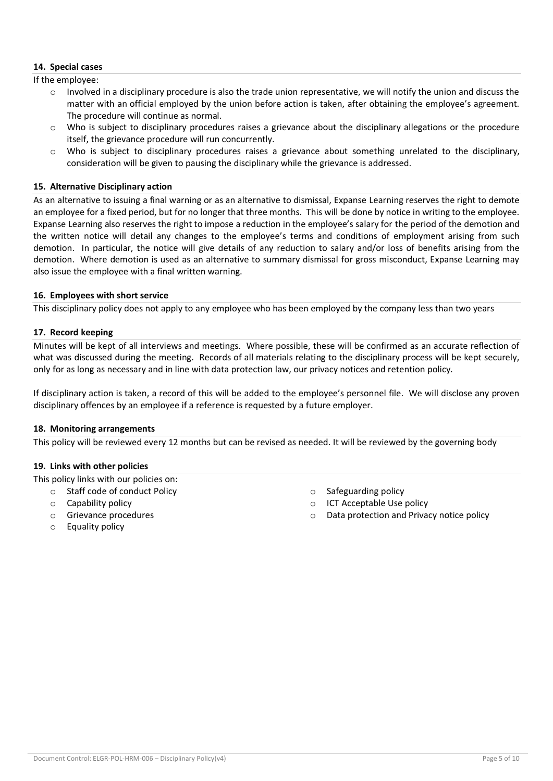## **14. Special cases**

If the employee:

- Involved in a disciplinary procedure is also the trade union representative, we will notify the union and discuss the matter with an official employed by the union before action is taken, after obtaining the employee's agreement. The procedure will continue as normal.
- $\circ$  Who is subject to disciplinary procedures raises a grievance about the disciplinary allegations or the procedure itself, the grievance procedure will run concurrently.
- $\circ$  Who is subject to disciplinary procedures raises a grievance about something unrelated to the disciplinary, consideration will be given to pausing the disciplinary while the grievance is addressed.

## **15. Alternative Disciplinary action**

As an alternative to issuing a final warning or as an alternative to dismissal, Expanse Learning reserves the right to demote an employee for a fixed period, but for no longer that three months. This will be done by notice in writing to the employee. Expanse Learning also reserves the right to impose a reduction in the employee's salary for the period of the demotion and the written notice will detail any changes to the employee's terms and conditions of employment arising from such demotion. In particular, the notice will give details of any reduction to salary and/or loss of benefits arising from the demotion. Where demotion is used as an alternative to summary dismissal for gross misconduct, Expanse Learning may also issue the employee with a final written warning.

## **16. Employees with short service**

This disciplinary policy does not apply to any employee who has been employed by the company less than two years

## **17. Record keeping**

Minutes will be kept of all interviews and meetings. Where possible, these will be confirmed as an accurate reflection of what was discussed during the meeting. Records of all materials relating to the disciplinary process will be kept securely, only for as long as necessary and in line with data protection law, our privacy notices and retention policy.

If disciplinary action is taken, a record of this will be added to the employee's personnel file. We will disclose any proven disciplinary offences by an employee if a reference is requested by a future employer.

#### **18. Monitoring arrangements**

This policy will be reviewed every 12 months but can be revised as needed. It will be reviewed by the governing body

#### **19. Links with other policies**

This policy links with our policies on:

- o Staff code of conduct Policy
- o Capability policy
- o Grievance procedures
- o Safeguarding policy
- o ICT Acceptable Use policy
- Data protection and Privacy notice policy

o Equality policy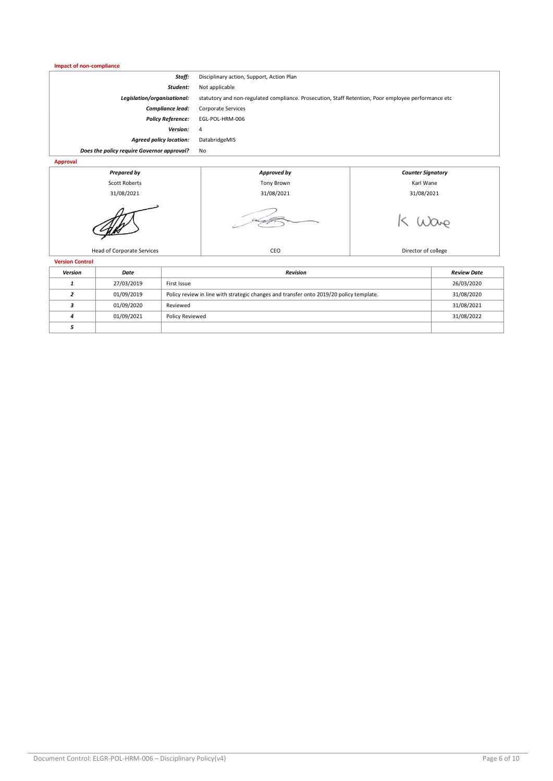#### **Impact of non-compliance**

| Staff:                                     | Disciplinary action, Support, Action Plan                                                           |
|--------------------------------------------|-----------------------------------------------------------------------------------------------------|
| Student:                                   | Not applicable                                                                                      |
| Legislation/organisational:                | statutory and non-regulated compliance. Prosecution, Staff Retention, Poor employee performance etc |
| <b>Compliance lead:</b>                    | Corporate Services                                                                                  |
| <b>Policy Reference:</b>                   | EGL-POL-HRM-006                                                                                     |
| Version:                                   | 4                                                                                                   |
| <b>Agreed policy location:</b>             | DatabridgeMIS                                                                                       |
| Does the policy require Governor approval? | No                                                                                                  |
| Approval                                   |                                                                                                     |



**Version Control**

| Version | Date       | <b>Revision</b>                                                                         | <b>Review Date</b> |
|---------|------------|-----------------------------------------------------------------------------------------|--------------------|
|         | 27/03/2019 | First Issue                                                                             | 26/03/2020         |
|         | 01/09/2019 | Policy review in line with strategic changes and transfer onto 2019/20 policy template. | 31/08/2020         |
|         | 01/09/2020 | Reviewed                                                                                | 31/08/2021         |
| Δ       | 01/09/2021 | Policy Reviewed                                                                         | 31/08/2022         |
|         |            |                                                                                         |                    |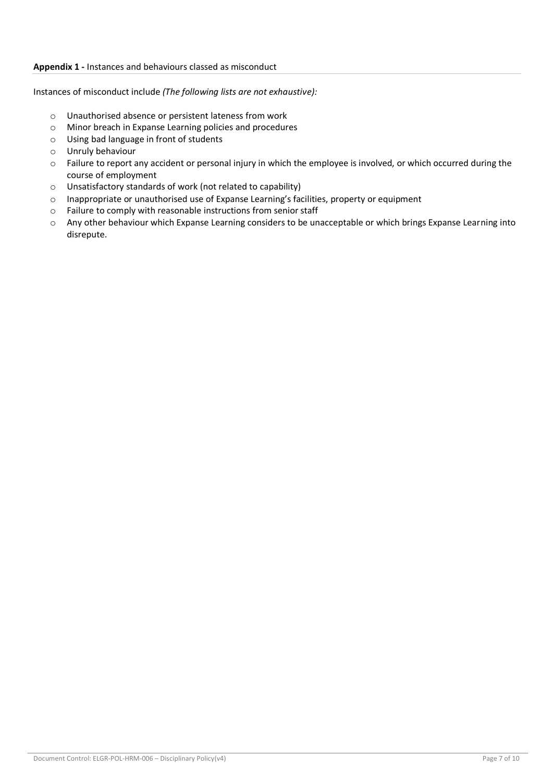## **Appendix 1 -** Instances and behaviours classed as misconduct

Instances of misconduct include *(The following lists are not exhaustive):*

- o Unauthorised absence or persistent lateness from work
- o Minor breach in Expanse Learning policies and procedures
- o Using bad language in front of students
- o Unruly behaviour
- $\circ$  Failure to report any accident or personal injury in which the employee is involved, or which occurred during the course of employment
- o Unsatisfactory standards of work (not related to capability)
- o Inappropriate or unauthorised use of Expanse Learning's facilities, property or equipment
- o Failure to comply with reasonable instructions from senior staff
- o Any other behaviour which Expanse Learning considers to be unacceptable or which brings Expanse Learning into disrepute.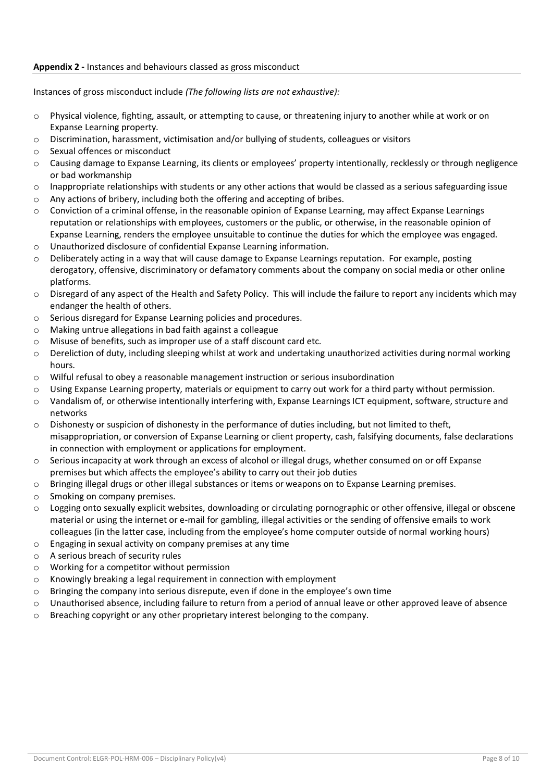## **Appendix 2 -** Instances and behaviours classed as gross misconduct

Instances of gross misconduct include *(The following lists are not exhaustive):*

- o Physical violence, fighting, assault, or attempting to cause, or threatening injury to another while at work or on Expanse Learning property.
- $\circ$  Discrimination, harassment, victimisation and/or bullying of students, colleagues or visitors
- o Sexual offences or misconduct
- o Causing damage to Expanse Learning, its clients or employees' property intentionally, recklessly or through negligence or bad workmanship
- $\circ$  Inappropriate relationships with students or any other actions that would be classed as a serious safeguarding issue
- o Any actions of bribery, including both the offering and accepting of bribes.
- $\circ$  Conviction of a criminal offense, in the reasonable opinion of Expanse Learning, may affect Expanse Learnings reputation or relationships with employees, customers or the public, or otherwise, in the reasonable opinion of Expanse Learning, renders the employee unsuitable to continue the duties for which the employee was engaged. o Unauthorized disclosure of confidential Expanse Learning information.
- $\circ$  Deliberately acting in a way that will cause damage to Expanse Learnings reputation. For example, posting derogatory, offensive, discriminatory or defamatory comments about the company on social media or other online platforms.
- $\circ$  Disregard of any aspect of the Health and Safety Policy. This will include the failure to report any incidents which may endanger the health of others.
- o Serious disregard for Expanse Learning policies and procedures.
- o Making untrue allegations in bad faith against a colleague
- o Misuse of benefits, such as improper use of a staff discount card etc.
- o Dereliction of duty, including sleeping whilst at work and undertaking unauthorized activities during normal working hours.
- $\circ$  Wilful refusal to obey a reasonable management instruction or serious insubordination
- o Using Expanse Learning property, materials or equipment to carry out work for a third party without permission.
- o Vandalism of, or otherwise intentionally interfering with, Expanse Learnings ICT equipment, software, structure and networks
- $\circ$  Dishonesty or suspicion of dishonesty in the performance of duties including, but not limited to theft. misappropriation, or conversion of Expanse Learning or client property, cash, falsifying documents, false declarations in connection with employment or applications for employment.
- o Serious incapacity at work through an excess of alcohol or illegal drugs, whether consumed on or off Expanse premises but which affects the employee's ability to carry out their job duties
- o Bringing illegal drugs or other illegal substances or items or weapons on to Expanse Learning premises.
- o Smoking on company premises.
- o Logging onto sexually explicit websites, downloading or circulating pornographic or other offensive, illegal or obscene material or using the internet or e-mail for gambling, illegal activities or the sending of offensive emails to work colleagues (in the latter case, including from the employee's home computer outside of normal working hours)
- o Engaging in sexual activity on company premises at any time
- o A serious breach of security rules
- o Working for a competitor without permission
- o Knowingly breaking a legal requirement in connection with employment
- o Bringing the company into serious disrepute, even if done in the employee's own time
- o Unauthorised absence, including failure to return from a period of annual leave or other approved leave of absence
- $\circ$  Breaching copyright or any other proprietary interest belonging to the company.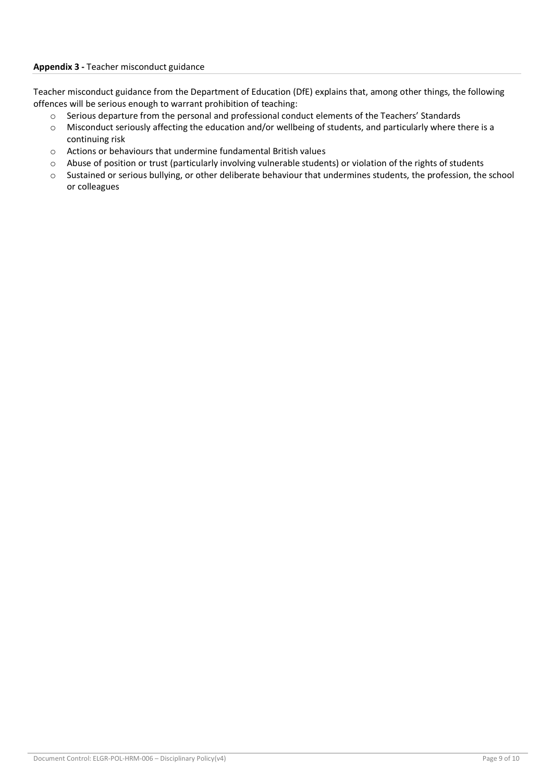Teacher misconduct guidance from the Department of Education (DfE) explains that, among other things, the following offences will be serious enough to warrant prohibition of teaching:

- o Serious departure from the personal and professional conduct elements of the Teachers' Standards
- o Misconduct seriously affecting the education and/or wellbeing of students, and particularly where there is a continuing risk
- o Actions or behaviours that undermine fundamental British values
- o Abuse of position or trust (particularly involving vulnerable students) or violation of the rights of students
- o Sustained or serious bullying, or other deliberate behaviour that undermines students, the profession, the school or colleagues